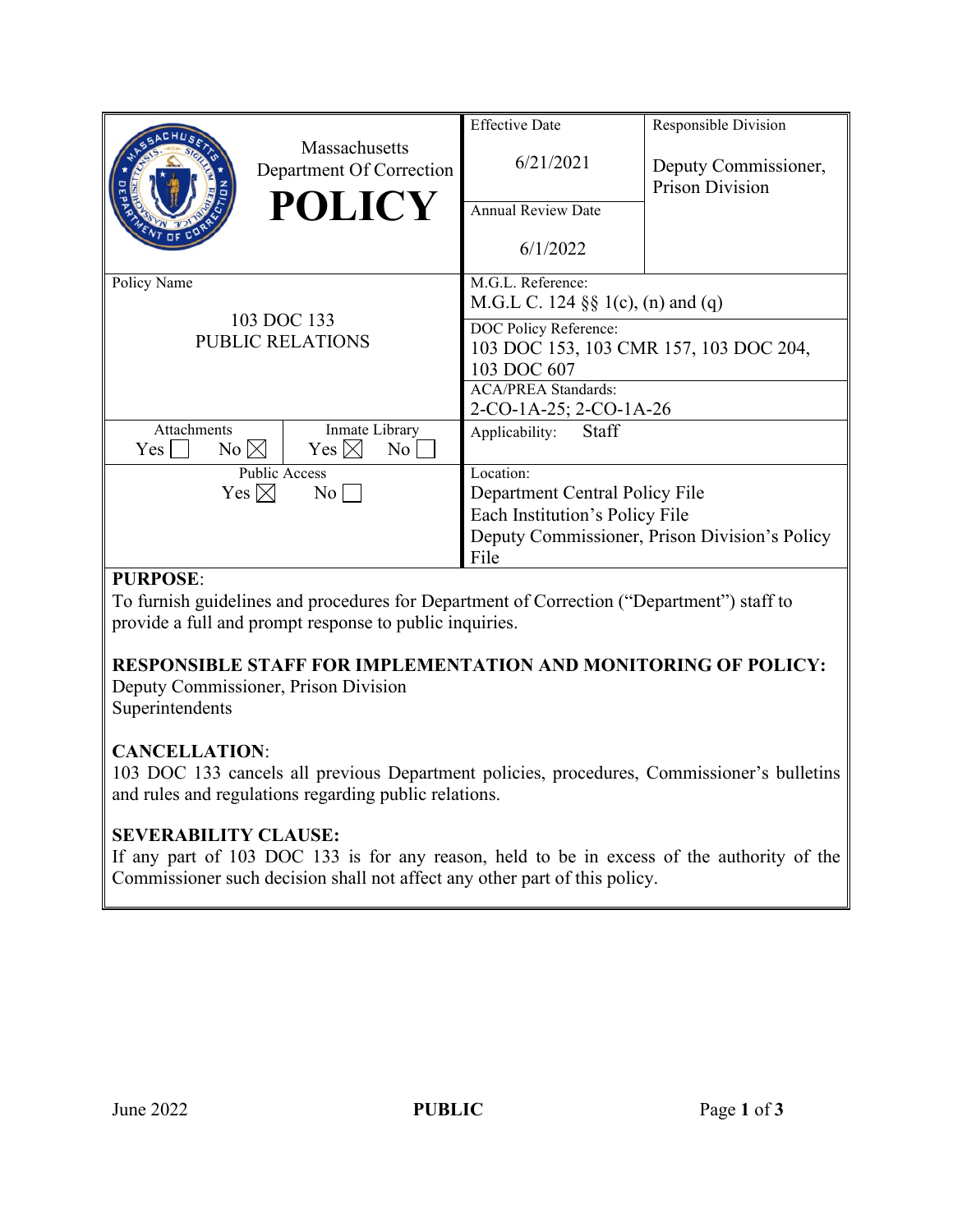|                                                       |                                                      | <b>Effective Date</b>                         | Responsible Division                           |
|-------------------------------------------------------|------------------------------------------------------|-----------------------------------------------|------------------------------------------------|
|                                                       | Massachusetts<br>Department Of Correction            | 6/21/2021                                     | Deputy Commissioner,<br><b>Prison Division</b> |
|                                                       | <b>POLICY</b>                                        | <b>Annual Review Date</b>                     |                                                |
|                                                       |                                                      | 6/1/2022                                      |                                                |
| Policy Name<br>103 DOC 133<br><b>PUBLIC RELATIONS</b> |                                                      | M.G.L. Reference:                             |                                                |
|                                                       |                                                      | M.G.L C. 124 $\S\S 1(c)$ , (n) and (q)        |                                                |
|                                                       |                                                      | DOC Policy Reference:                         |                                                |
|                                                       |                                                      | 103 DOC 153, 103 CMR 157, 103 DOC 204,        |                                                |
|                                                       |                                                      | 103 DOC 607                                   |                                                |
|                                                       |                                                      | <b>ACA/PREA Standards:</b>                    |                                                |
|                                                       |                                                      | 2-CO-1A-25; 2-CO-1A-26                        |                                                |
| Attachments<br>$No \boxtimes$<br>Yes                  | Inmate Library<br>Yes $\boxtimes$<br>No <sub>1</sub> | Staff<br>Applicability:                       |                                                |
| <b>Public Access</b>                                  |                                                      | Location:                                     |                                                |
| Yes $\boxtimes$<br>$\rm No$                           |                                                      | Department Central Policy File                |                                                |
|                                                       |                                                      | Each Institution's Policy File                |                                                |
|                                                       |                                                      | Deputy Commissioner, Prison Division's Policy |                                                |
|                                                       |                                                      | File                                          |                                                |

#### **PURPOSE**:

To furnish guidelines and procedures for Department of Correction ("Department") staff to provide a full and prompt response to public inquiries.

# **RESPONSIBLE STAFF FOR IMPLEMENTATION AND MONITORING OF POLICY:**

Deputy Commissioner, Prison Division Superintendents

## **CANCELLATION**:

103 DOC 133 cancels all previous Department policies, procedures, Commissioner's bulletins and rules and regulations regarding public relations.

## **SEVERABILITY CLAUSE:**

If any part of 103 DOC 133 is for any reason, held to be in excess of the authority of the Commissioner such decision shall not affect any other part of this policy.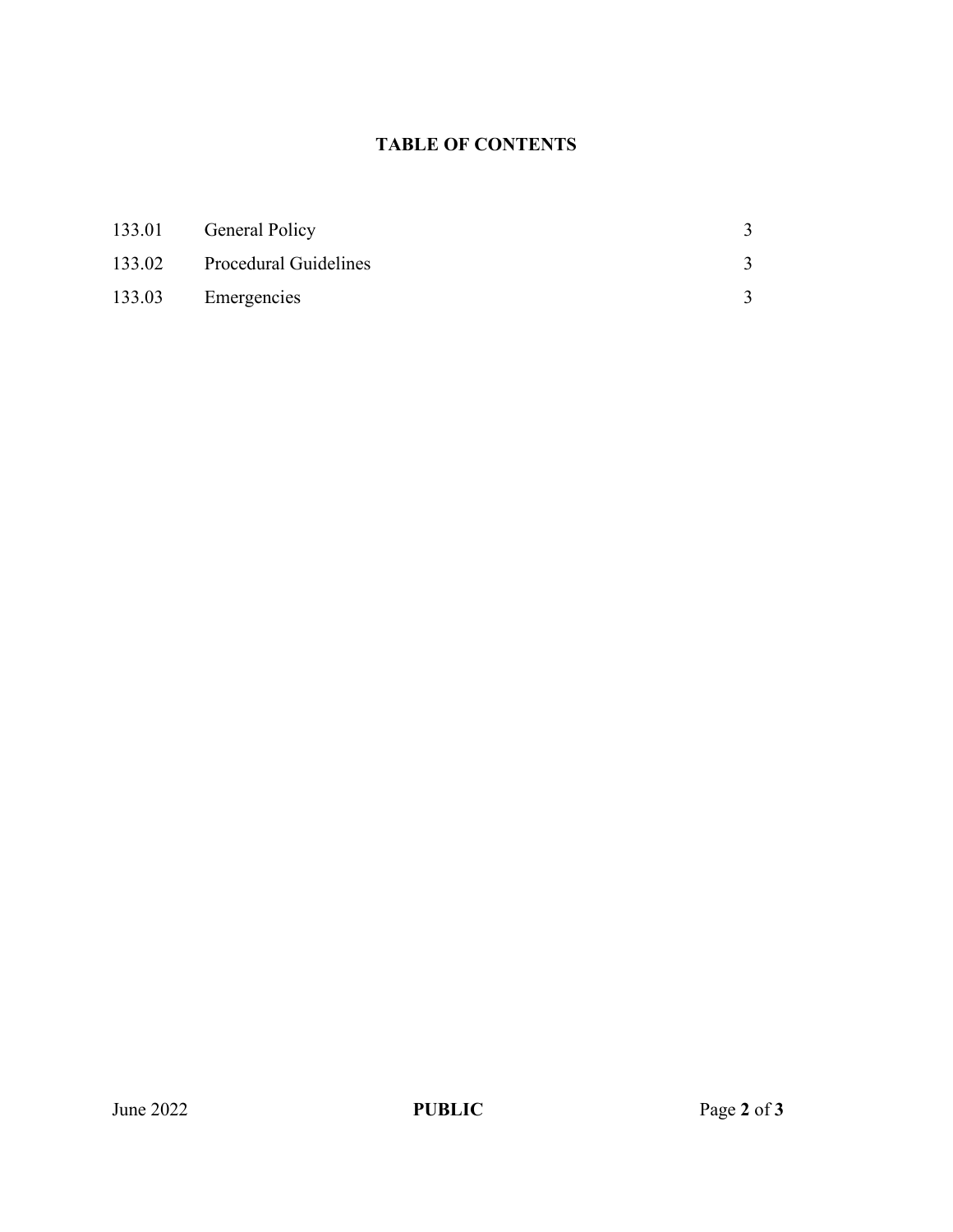#### **TABLE OF CONTENTS**

| 133.01 General Policy        |  |
|------------------------------|--|
| 133.02 Procedural Guidelines |  |
| 133.03 Emergencies           |  |